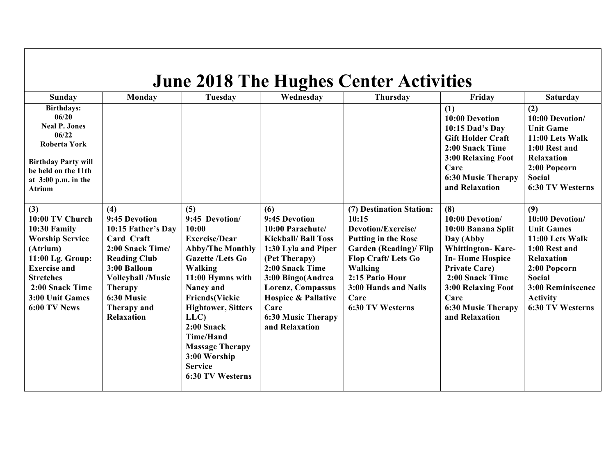| <b>June 2018 The Hughes Center Activities</b>                                                                                                                                                     |                                                                                                                                                                                                                            |                                                                                                                                                                                                                                                                                                                                            |                                                                                                                                                                                                                                                                      |                                                                                                                                                                                                                                       |                                                                                                                                                                                                                                         |                                                                                                                                                                                                   |  |  |
|---------------------------------------------------------------------------------------------------------------------------------------------------------------------------------------------------|----------------------------------------------------------------------------------------------------------------------------------------------------------------------------------------------------------------------------|--------------------------------------------------------------------------------------------------------------------------------------------------------------------------------------------------------------------------------------------------------------------------------------------------------------------------------------------|----------------------------------------------------------------------------------------------------------------------------------------------------------------------------------------------------------------------------------------------------------------------|---------------------------------------------------------------------------------------------------------------------------------------------------------------------------------------------------------------------------------------|-----------------------------------------------------------------------------------------------------------------------------------------------------------------------------------------------------------------------------------------|---------------------------------------------------------------------------------------------------------------------------------------------------------------------------------------------------|--|--|
| Sunday                                                                                                                                                                                            | Monday                                                                                                                                                                                                                     | Tuesday                                                                                                                                                                                                                                                                                                                                    | Wednesday                                                                                                                                                                                                                                                            | <b>Thursday</b>                                                                                                                                                                                                                       | Friday                                                                                                                                                                                                                                  | <b>Saturday</b>                                                                                                                                                                                   |  |  |
| <b>Birthdays:</b><br>06/20<br><b>Neal P. Jones</b><br>06/22<br>Roberta York<br><b>Birthday Party will</b><br>be held on the 11th<br>at $3:00$ p.m. in the<br><b>Atrium</b>                        |                                                                                                                                                                                                                            |                                                                                                                                                                                                                                                                                                                                            |                                                                                                                                                                                                                                                                      |                                                                                                                                                                                                                                       | (1)<br>10:00 Devotion<br>10:15 Dad's Day<br><b>Gift Holder Craft</b><br>2:00 Snack Time<br>3:00 Relaxing Foot<br>Care<br><b>6:30 Music Therapy</b><br>and Relaxation                                                                    | (2)<br>10:00 Devotion/<br><b>Unit Game</b><br>11:00 Lets Walk<br>1:00 Rest and<br><b>Relaxation</b><br>2:00 Popcorn<br><b>Social</b><br>6:30 TV Westerns                                          |  |  |
| (3)<br>10:00 TV Church<br>10:30 Family<br><b>Worship Service</b><br>(Atrium)<br>11:00 Lg. Group:<br><b>Exercise and</b><br><b>Stretches</b><br>2:00 Snack Time<br>3:00 Unit Games<br>6:00 TV News | (4)<br>9:45 Devotion<br>10:15 Father's Day<br>Card Craft<br>2:00 Snack Time/<br><b>Reading Club</b><br>3:00 Balloon<br><b>Volleyball /Music</b><br><b>Therapy</b><br>6:30 Music<br><b>Therapy and</b><br><b>Relaxation</b> | (5)<br>9:45 Devotion/<br>10:00<br><b>Exercise/Dear</b><br><b>Abby/The Monthly</b><br><b>Gazette /Lets Go</b><br>Walking<br>11:00 Hymns with<br>Nancy and<br><b>Friends(Vickie</b><br><b>Hightower, Sitters</b><br>LLC)<br>$2:00$ Snack<br><b>Time/Hand</b><br><b>Massage Therapy</b><br>3:00 Worship<br><b>Service</b><br>6:30 TV Westerns | (6)<br>9:45 Devotion<br>10:00 Parachute/<br><b>Kickball/ Ball Toss</b><br>1:30 Lyla and Piper<br>(Pet Therapy)<br>2:00 Snack Time<br>3:00 Bingo(Andrea<br>Lorenz, Compassus<br><b>Hospice &amp; Pallative</b><br>Care<br><b>6:30 Music Therapy</b><br>and Relaxation | (7) Destination Station:<br>10:15<br>Devotion/Exercise/<br><b>Putting in the Rose</b><br><b>Garden (Reading)/ Flip</b><br>Flop Craft/Lets Go<br><b>Walking</b><br>2:15 Patio Hour<br>3:00 Hands and Nails<br>Care<br>6:30 TV Westerns | (8)<br>10:00 Devotion/<br>10:00 Banana Split<br>Day (Abby<br><b>Whittington-Kare-</b><br><b>In-Home Hospice</b><br><b>Private Care)</b><br>2:00 Snack Time<br>3:00 Relaxing Foot<br>Care<br><b>6:30 Music Therapy</b><br>and Relaxation | (9)<br>10:00 Devotion/<br><b>Unit Games</b><br>11:00 Lets Walk<br>1:00 Rest and<br><b>Relaxation</b><br>2:00 Popcorn<br><b>Social</b><br>3:00 Reminiscence<br><b>Activity</b><br>6:30 TV Westerns |  |  |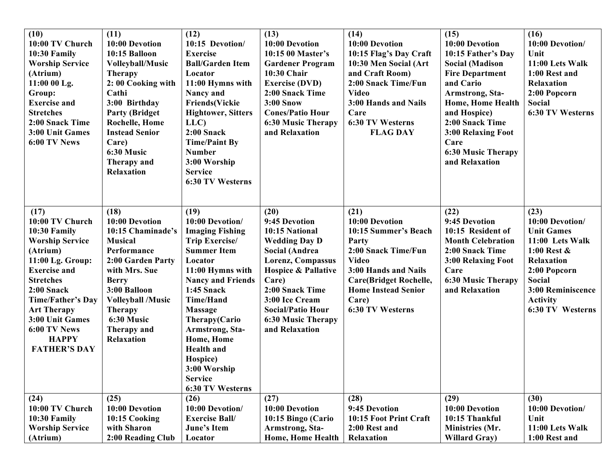| (10)<br>10:00 TV Church<br>10:30 Family<br><b>Worship Service</b><br>(Atrium)<br>11:00 00 Lg.<br>Group:<br><b>Exercise and</b><br><b>Stretches</b><br>2:00 Snack Time<br>3:00 Unit Games<br>6:00 TV News                                                                               | (11)<br>10:00 Devotion<br>10:15 Balloon<br><b>Volleyball/Music</b><br><b>Therapy</b><br>2:00 Cooking with<br>Cathi<br>3:00 Birthday<br><b>Party (Bridget)</b><br><b>Rochelle, Home</b><br><b>Instead Senior</b><br>Care)<br>6:30 Music<br>Therapy and<br>Relaxation | (12)<br>10:15 Devotion/<br><b>Exercise</b><br><b>Ball/Garden Item</b><br>Locator<br>11:00 Hymns with<br>Nancy and<br><b>Friends(Vickie</b><br><b>Hightower, Sitters</b><br>LLC)<br>2:00 Snack<br><b>Time/Paint By</b><br><b>Number</b><br>3:00 Worship<br><b>Service</b><br>6:30 TV Westerns                                                             | (13)<br>10:00 Devotion<br>10:15 00 Master's<br><b>Gardener Program</b><br>10:30 Chair<br><b>Exercise (DVD)</b><br>2:00 Snack Time<br><b>3:00 Snow</b><br><b>Cones/Patio Hour</b><br><b>6:30 Music Therapy</b><br>and Relaxation                                          | (14)<br>10:00 Devotion<br>10:15 Flag's Day Craft<br>10:30 Men Social (Art<br>and Craft Room)<br>2:00 Snack Time/Fun<br><b>Video</b><br>3:00 Hands and Nails<br>Care<br>6:30 TV Westerns<br><b>FLAG DAY</b>                | (15)<br>10:00 Devotion<br>10:15 Father's Day<br><b>Social (Madison</b><br><b>Fire Department</b><br>and Cario<br>Armstrong, Sta-<br>Home, Home Health<br>and Hospice)<br>2:00 Snack Time<br>3:00 Relaxing Foot<br>Care<br><b>6:30 Music Therapy</b><br>and Relaxation | (16)<br>10:00 Devotion/<br>Unit<br>11:00 Lets Walk<br>1:00 Rest and<br>Relaxation<br>2:00 Popcorn<br>Social<br>6:30 TV Westerns                                                       |
|----------------------------------------------------------------------------------------------------------------------------------------------------------------------------------------------------------------------------------------------------------------------------------------|---------------------------------------------------------------------------------------------------------------------------------------------------------------------------------------------------------------------------------------------------------------------|----------------------------------------------------------------------------------------------------------------------------------------------------------------------------------------------------------------------------------------------------------------------------------------------------------------------------------------------------------|--------------------------------------------------------------------------------------------------------------------------------------------------------------------------------------------------------------------------------------------------------------------------|---------------------------------------------------------------------------------------------------------------------------------------------------------------------------------------------------------------------------|-----------------------------------------------------------------------------------------------------------------------------------------------------------------------------------------------------------------------------------------------------------------------|---------------------------------------------------------------------------------------------------------------------------------------------------------------------------------------|
| (17)<br>10:00 TV Church<br>10:30 Family<br><b>Worship Service</b><br>(Atrium)<br>11:00 Lg. Group:<br><b>Exercise</b> and<br><b>Stretches</b><br>2:00 Snack<br><b>Time/Father's Day</b><br><b>Art Therapy</b><br>3:00 Unit Games<br>6:00 TV News<br><b>HAPPY</b><br><b>FATHER'S DAY</b> | (18)<br>10:00 Devotion<br>10:15 Chaminade's<br><b>Musical</b><br>Performance<br>2:00 Garden Party<br>with Mrs. Sue<br><b>Berry</b><br>3:00 Balloon<br><b>Volleyball /Music</b><br><b>Therapy</b><br>6:30 Music<br>Therapy and<br>Relaxation                         | (19)<br>10:00 Devotion/<br><b>Imaging Fishing</b><br>Trip Exercise/<br><b>Summer Item</b><br>Locator<br>11:00 Hymns with<br><b>Nancy and Friends</b><br><b>1:45 Snack</b><br><b>Time/Hand</b><br><b>Massage</b><br>Therapy(Cario<br>Armstrong, Sta-<br>Home, Home<br><b>Health</b> and<br>Hospice)<br>3:00 Worship<br><b>Service</b><br>6:30 TV Westerns | (20)<br>9:45 Devotion<br>10:15 National<br><b>Wedding Day D</b><br><b>Social (Andrea</b><br>Lorenz, Compassus<br><b>Hospice &amp; Pallative</b><br>Care)<br>2:00 Snack Time<br>3:00 Ice Cream<br><b>Social/Patio Hour</b><br><b>6:30 Music Therapy</b><br>and Relaxation | (21)<br>10:00 Devotion<br>10:15 Summer's Beach<br>Party<br>2:00 Snack Time/Fun<br><b>Video</b><br>3:00 Hands and Nails<br><b>Care(Bridget Rochelle,</b><br><b>Home Instead Senior</b><br>Care)<br><b>6:30 TV Westerns</b> | (22)<br>9:45 Devotion<br>10:15 Resident of<br><b>Month Celebration</b><br>2:00 Snack Time<br>3:00 Relaxing Foot<br>Care<br><b>6:30 Music Therapy</b><br>and Relaxation                                                                                                | (23)<br>10:00 Devotion/<br><b>Unit Games</b><br>11:00 Lets Walk<br>1:00 Rest $\&$<br>Relaxation<br>2:00 Popcorn<br>Social<br>3:00 Reminiscence<br><b>Activity</b><br>6:30 TV Westerns |
| (24)<br>10:00 TV Church<br>10:30 Family<br><b>Worship Service</b><br>(Atrium)                                                                                                                                                                                                          | (25)<br>10:00 Devotion<br>10:15 Cooking<br>with Sharon<br>2:00 Reading Club                                                                                                                                                                                         | (26)<br>10:00 Devotion/<br><b>Exercise Ball/</b><br>June's Item<br>Locator                                                                                                                                                                                                                                                                               | (27)<br>10:00 Devotion<br>10:15 Bingo (Cario<br><b>Armstrong, Sta-</b><br><b>Home, Home Health</b>                                                                                                                                                                       | (28)<br>9:45 Devotion<br>10:15 Foot Print Craft<br>2:00 Rest and<br>Relaxation                                                                                                                                            | (29)<br>10:00 Devotion<br>10:15 Thankful<br>Ministries (Mr.<br><b>Willard Gray</b> )                                                                                                                                                                                  | (30)<br>10:00 Devotion/<br>Unit<br>11:00 Lets Walk<br>1:00 Rest and                                                                                                                   |